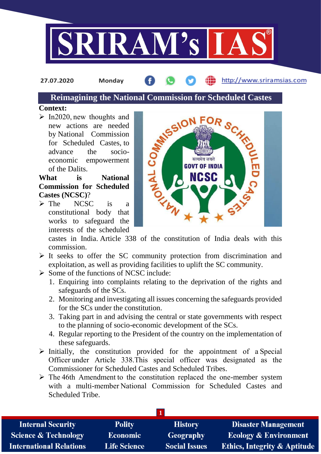

**27.07.2020 Monday**

http://www.sriramsias.com

# **Reimagining the National Commission for Scheduled Castes**

#### **Context:**

 $\triangleright$  In2020, new thoughts and new actions are needed by National Commission for Scheduled Castes, to advance the socioeconomic empowerment of the Dalits.

**What is National Commission for Scheduled Castes (NCSC)**?

 $\triangleright$  The NCSC is a constitutional body that works to safeguard the interests of the scheduled



castes in India. Article 338 of the constitution of India deals with this commission.

- $\triangleright$  It seeks to offer the SC community protection from discrimination and exploitation, as well as providing facilities to uplift the SC community.
- $\triangleright$  Some of the functions of NCSC include:
	- 1. Enquiring into complaints relating to the deprivation of the rights and safeguards of the SCs.
	- 2. Monitoring and investigating all issues concerning the safeguards provided for the SCs under the constitution.
	- 3. Taking part in and advising the central or state governments with respect to the planning of socio-economic development of the SCs.
	- 4. Regular reporting to the President of the country on the implementation of these safeguards.
- $\triangleright$  Initially, the constitution provided for the appointment of a Special Officer under Article 338.This special officer was designated as the Commissioner for Scheduled Castes and Scheduled Tribes.
- $\triangleright$  The 46th Amendment to the constitution replaced the one-member system with a multi-member National Commission for Scheduled Castes and Scheduled Tribe.

| <b>Internal Security</b>        | <b>Polity</b>       | <b>History</b>       | <b>Disaster Management</b>              |  |  |
|---------------------------------|---------------------|----------------------|-----------------------------------------|--|--|
| <b>Science &amp; Technology</b> | Economic            | <b>Geography</b>     | <b>Ecology &amp; Environment</b>        |  |  |
| <b>International Relations</b>  | <b>Life Science</b> | <b>Social Issues</b> | <b>Ethics, Integrity &amp; Aptitude</b> |  |  |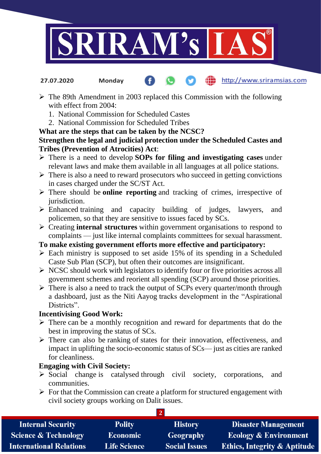

- http://www.sriramsias.com **27.07.2020 Monday**
- $\triangleright$  The 89th Amendment in 2003 replaced this Commission with the following with effect from 2004:
	- 1. National Commission for Scheduled Castes
	- 2. National Commission for Scheduled Tribes

# **What are the steps that can be taken by the NCSC?**

### **Strengthen the legal and judicial protection under the Scheduled Castes and Tribes (Prevention of Atrocities) Act**:

- There is a need to develop **SOPs for filing and investigating cases** under relevant laws and make them available in all languages at all police stations.
- $\triangleright$  There is also a need to reward prosecutors who succeed in getting convictions in cases charged under the SC/ST Act.
- There should be **online reporting** and tracking of crimes, irrespective of jurisdiction.
- Enhanced training and capacity building of judges, lawyers, and policemen, so that they are sensitive to issues faced by SCs.
- Creating **internal structures** within government organisations to respond to complaints — just like internal complaints committees for sexual harassment.

#### **To make existing government efforts more effective and participatory:**

- $\triangleright$  Each ministry is supposed to set aside 15% of its spending in a Scheduled Caste Sub Plan (SCP), but often their outcomes are insignificant.
- $\triangleright$  NCSC should work with legislators to identify four or five priorities across all government schemes and reorient all spending (SCP) around those priorities.
- $\triangleright$  There is also a need to track the output of SCPs every quarter/month through a dashboard, just as the Niti Aayog tracks development in the "Aspirational Districts".

## **Incentivising Good Work:**

- $\triangleright$  There can be a monthly recognition and reward for departments that do the best in improving the status of SCs.
- $\triangleright$  There can also be ranking of states for their innovation, effectiveness, and impact in uplifting the socio-economic status of SCs— just as cities are ranked for cleanliness.

## **Engaging with Civil Society:**

- $\triangleright$  Social change is catalysed through civil society, corporations, and communities.
- $\triangleright$  For that the Commission can create a platform for structured engagement with civil society groups working on Dalit issues.

**2**

| <b>Internal Security</b>        | <b>Polity</b>       | <b>History</b>       | <b>Disaster Management</b>              |  |  |  |
|---------------------------------|---------------------|----------------------|-----------------------------------------|--|--|--|
| <b>Science &amp; Technology</b> | <b>Economic</b>     | Geography            | <b>Ecology &amp; Environment</b>        |  |  |  |
| <b>International Relations</b>  | <b>Life Science</b> | <b>Social Issues</b> | <b>Ethics, Integrity &amp; Aptitude</b> |  |  |  |